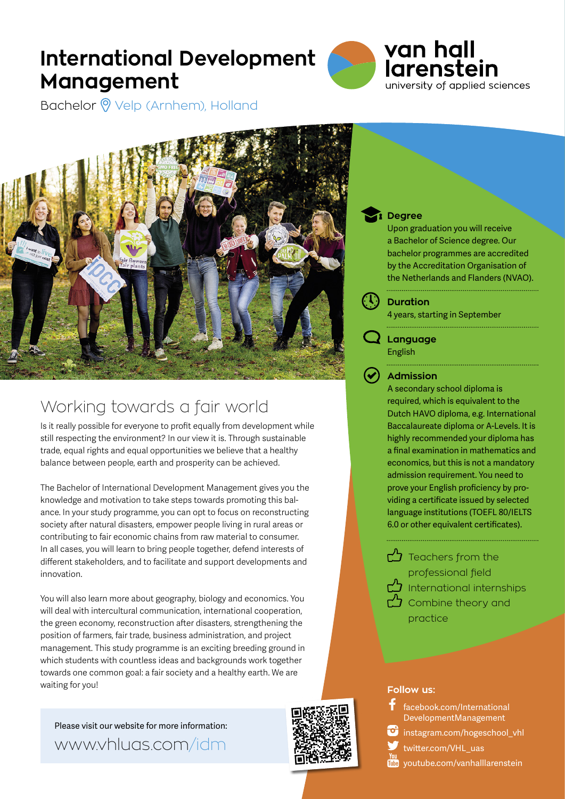# **International Development Management**



Bachelor <sup>o</sup> Velp (Arnhem), Holland



## Working towards a fair world

Is it really possible for everyone to profit equally from development while still respecting the environment? In our view it is. Through sustainable trade, equal rights and equal opportunities we believe that a healthy balance between people, earth and prosperity can be achieved.

The Bachelor of International Development Management gives you the knowledge and motivation to take steps towards promoting this balance. In your study programme, you can opt to focus on reconstructing society after natural disasters, empower people living in rural areas or contributing to fair economic chains from raw material to consumer. In all cases, you will learn to bring people together, defend interests of different stakeholders, and to facilitate and support developments and innovation.

You will also learn more about geography, biology and economics. You will deal with intercultural communication, international cooperation, the green economy, reconstruction after disasters, strengthening the position of farmers, fair trade, business administration, and project management. This study programme is an exciting breeding ground in which students with countless ideas and backgrounds work together towards one common goal: a fair society and a healthy earth. We are waiting for you!

Please visit our website for more information: www.vhluas.com/idm



### **Degree**

Upon graduation you will receive a Bachelor of Science degree. Our bachelor programmes are accredited by the Accreditation Organisation of the Netherlands and Flanders (NVAO).

**Duration**

4 years, starting in September

**Language** English

**Admission**

A secondary school diploma is required, which is equivalent to the Dutch HAVO diploma, e.g. International Baccalaureate diploma or A-Levels. It is highly recommended your diploma has a final examination in mathematics and economics, but this is not a mandatory admission requirement. You need to prove your English proficiency by providing a certificate issued by selected language institutions (TOEFL 80/IELTS 6.0 or other equivalent certificates).

 $\bigcirc$  Teachers from the professional field International internships  $\Delta$  Combine theory and practice



 [facebook.com/International](https://www.facebook.com/InternationalDevelopmentManagement) [DevelopmentManagement](https://www.facebook.com/InternationalDevelopmentManagement)



[instagram.com/hogeschool\\_vhl](https://www.instagram.com/hogeschool_vhl/)

[twitter.com/VHL\\_uas](https://twitter.com/VHL_University)

**Tube** [youtube.com/vanhalllarenstein](https://www.youtube.com/user/vanhalllarenstein)